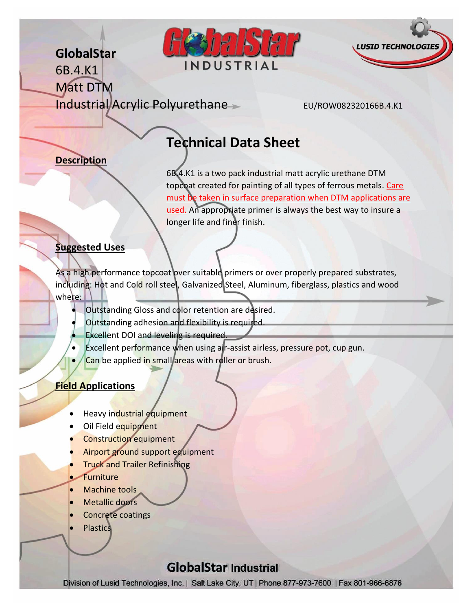## **GlobalStar**





6B.4.K1 Matt DTM Industrial Acrylic Polyurethane EU/ROW082320166B.4.K1

# **Technical Data Sheet**

## **Description**

6B.4.K1 is a two pack industrial matt acrylic urethane DTM topcoat created for painting of all types of ferrous metals. Care must be taken in surface preparation when DTM applications are used. An appropriate primer is always the best way to insure a longer life and finer finish.

#### **Suggested Uses**

As a high performance topcoat over suitable primers or over properly prepared substrates, including: Hot and Cold roll steel, Galvanized Steel, Aluminum, fiberglass, plastics and wood where:

- Outstanding Gloss and color retention are desired.
- Outstanding adhesion and flexibility is required.
- Excellent DOI and leveling is required.
- Excellent performance when using air-assist airless, pressure pot, cup gun.
- Can be applied in small areas with roller or brush.

## **Field Applications**

- Heavy industrial equipment
- Oil Field equipment
- Construction equipment
- Airport ground support equipment
- Truck and Trailer Refinishing
- **Furniture**
- Machine tools
- Metallic doors
- Concrete coatings
- **Plastics**

## **GlobalStar Industrial**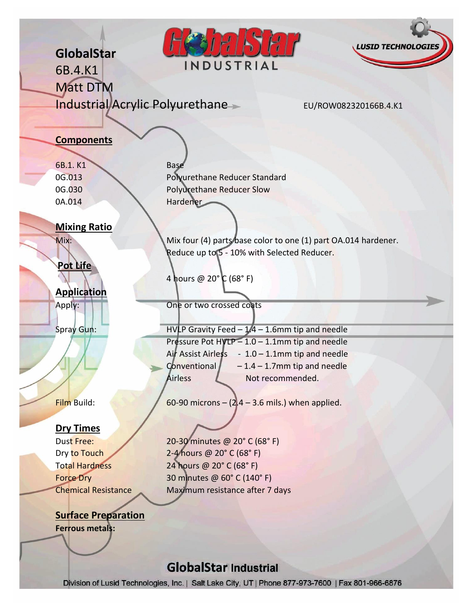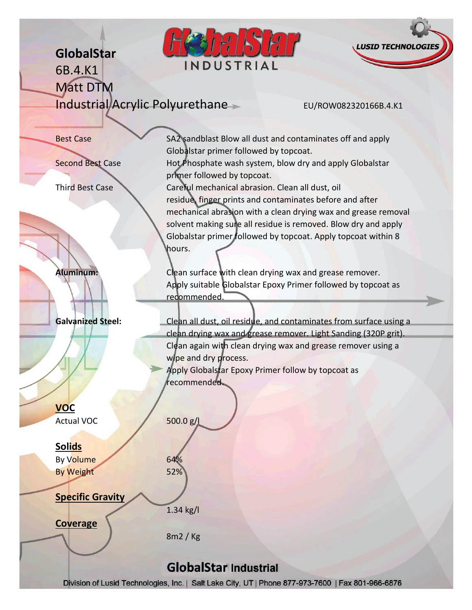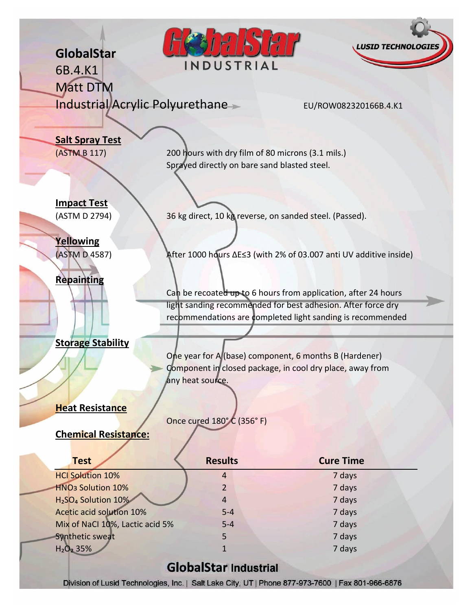